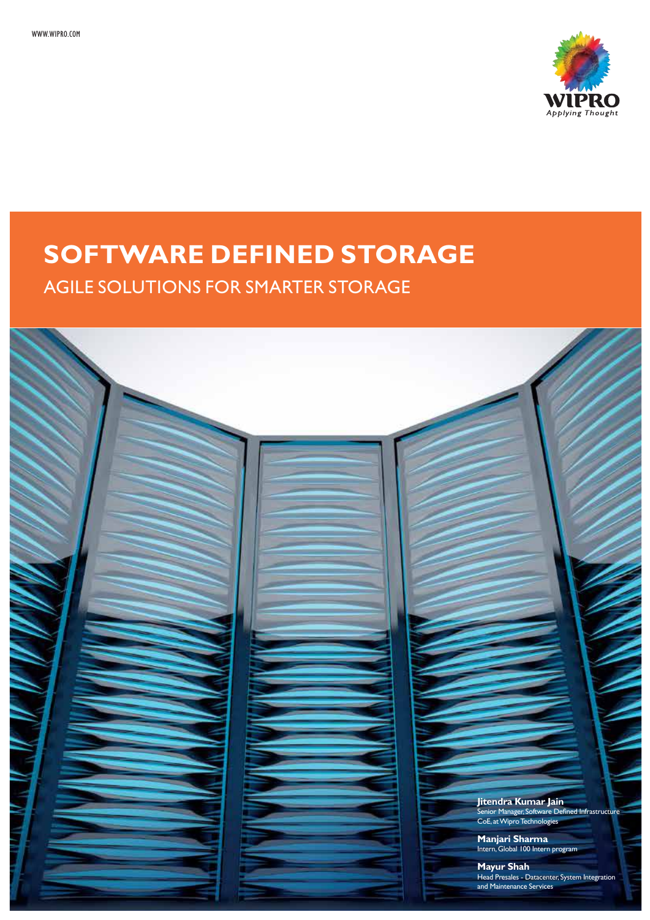

# **SOFTWARE DEFINED STORAGE**

AGILE SOLUTIONS FOR SMARTER STORAGE

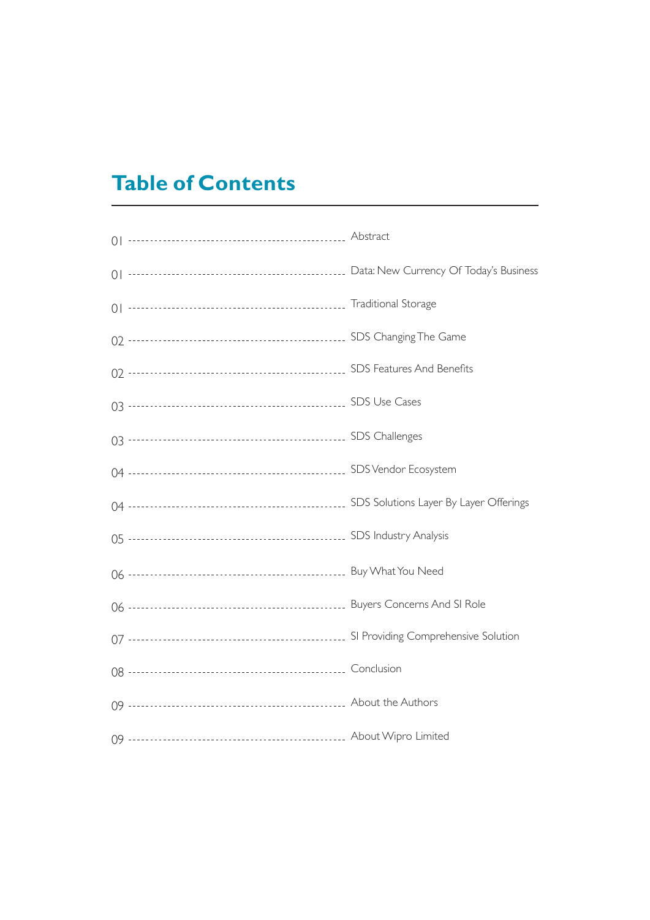## **Table of Contents**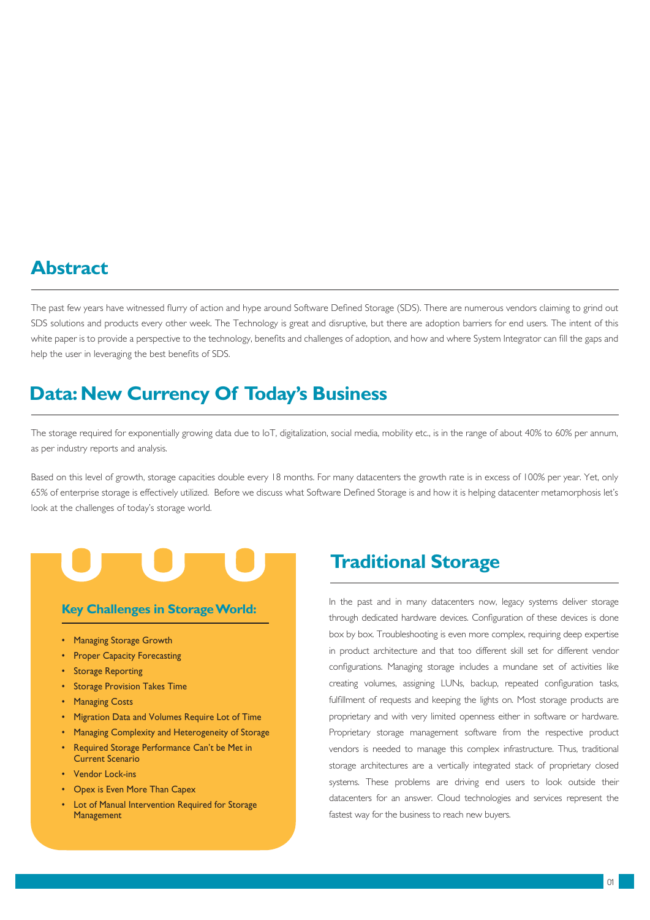#### **Abstract**

The past few years have witnessed flurry of action and hype around Software Defined Storage (SDS). There are numerous vendors claiming to grind out SDS solutions and products every other week. The Technology is great and disruptive, but there are adoption barriers for end users. The intent of this white paper is to provide a perspective to the technology, benefits and challenges of adoption, and how and where System Integrator can fill the gaps and help the user in leveraging the best benefits of SDS.

### **Data: New Currency Of Today's Business**

The storage required for exponentially growing data due to IoT, digitalization, social media, mobility etc., is in the range of about 40% to 60% per annum, as per industry reports and analysis.

Based on this level of growth, storage capacities double every 18 months. For many datacenters the growth rate is in excess of 100% per year. Yet, only 65% of enterprise storage is effectively utilized. Before we discuss what Software Defined Storage is and how it is helping datacenter metamorphosis let's look at the challenges of today's storage world.

#### **Key Challenges in Storage World:**

- Managing Storage Growth
- Proper Capacity Forecasting
- Storage Reporting
- Storage Provision Takes Time
- Managing Costs
- Migration Data and Volumes Require Lot of Time
- Managing Complexity and Heterogeneity of Storage
- Required Storage Performance Can't be Met in Current Scenario
- Vendor Lock-ins
- Opex is Even More Than Capex
- **Lot of Manual Intervention Required for Storage Management**

#### **Traditional Storage**

In the past and in many datacenters now, legacy systems deliver storage through dedicated hardware devices. Configuration of these devices is done box by box. Troubleshooting is even more complex, requiring deep expertise in product architecture and that too different skill set for different vendor configurations. Managing storage includes a mundane set of activities like creating volumes, assigning LUNs, backup, repeated configuration tasks, fulfillment of requests and keeping the lights on. Most storage products are proprietary and with very limited openness either in software or hardware. Proprietary storage management software from the respective product vendors is needed to manage this complex infrastructure. Thus, traditional storage architectures are a vertically integrated stack of proprietary closed systems. These problems are driving end users to look outside their datacenters for an answer. Cloud technologies and services represent the fastest way for the business to reach new buyers.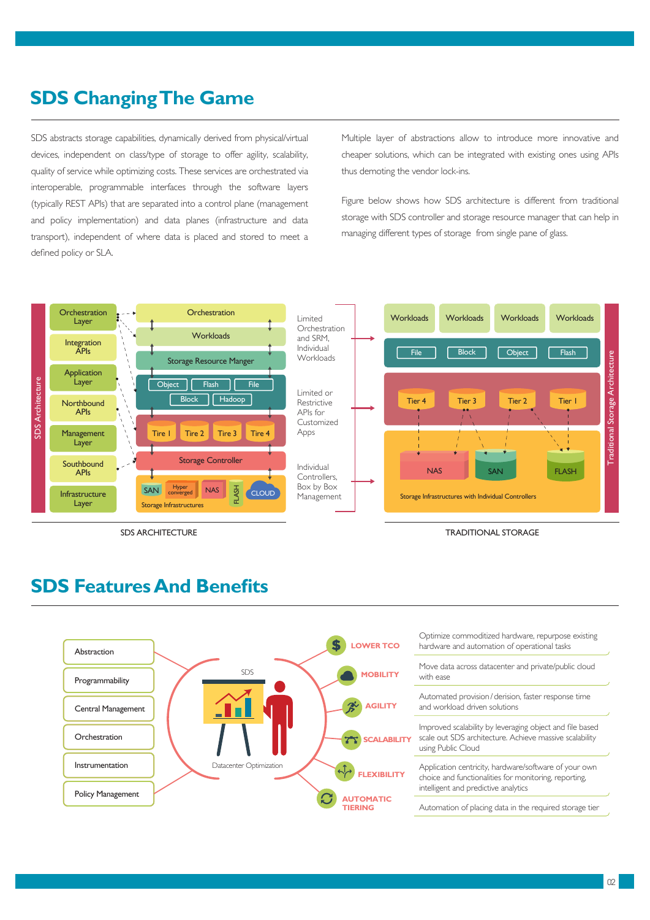#### **SDS Changing The Game**

SDS abstracts storage capabilities, dynamically derived from physical/virtual devices, independent on class/type of storage to offer agility, scalability, quality of service while optimizing costs. These services are orchestrated via interoperable, programmable interfaces through the software layers (typically REST APIs) that are separated into a control plane (management and policy implementation) and data planes (infrastructure and data transport), independent of where data is placed and stored to meet a defined policy or SLA.

Multiple layer of abstractions allow to introduce more innovative and cheaper solutions, which can be integrated with existing ones using APIs thus demoting the vendor lock-ins.

Figure below shows how SDS architecture is different from traditional storage with SDS controller and storage resource manager that can help in managing different types of storage from single pane of glass.



#### **SDS Features And Benefits**

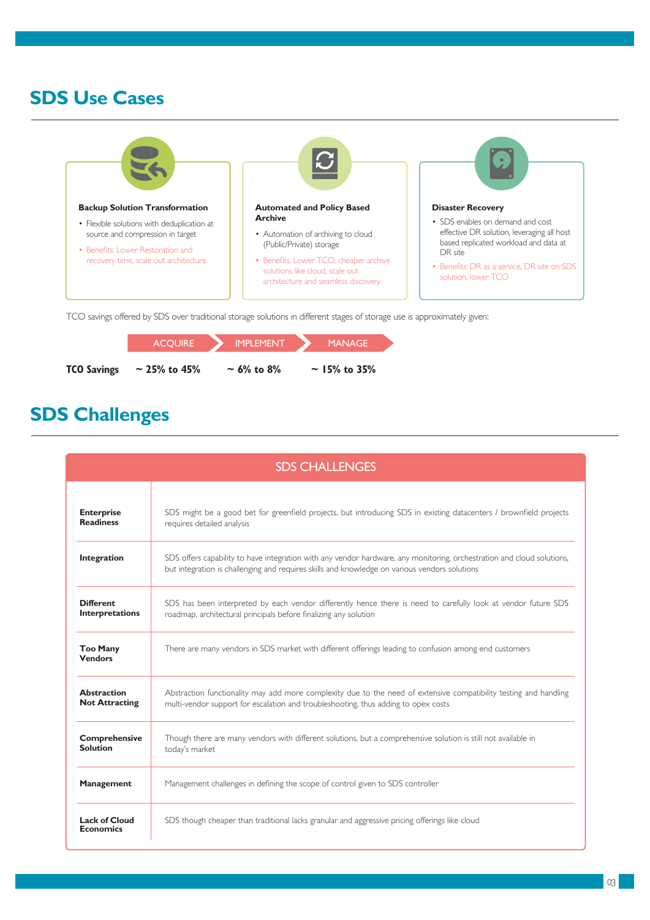#### **SDS Use Cases**



TCO savings offered by SDS over traditional storage solutions in different stages of storage use is approximately given:

|                    | <b>ACOUIRE</b>    | <b>IMPLEMENT</b> | <b>MANAGE</b>     |  |
|--------------------|-------------------|------------------|-------------------|--|
| <b>TCO Savings</b> | $\sim$ 25% to 45% | $\sim$ 6% to 8%  | $\sim$ 15% to 35% |  |

### **SDS Challenges**

| <b>SDS CHALLENGES</b>                       |                                                                                                                                                                                                                         |  |  |
|---------------------------------------------|-------------------------------------------------------------------------------------------------------------------------------------------------------------------------------------------------------------------------|--|--|
| <b>Enterprise</b><br><b>Readiness</b>       | SDS might be a good bet for greenfield projects, but introducing SDS in existing datacenters / brownfield projects<br>requires detailed analysis                                                                        |  |  |
| Integration                                 | SDS offers capability to have integration with any vendor hardware, any monitoring, orchestration and cloud solutions,<br>but integration is challenging and requires skills and knowledge on various vendors solutions |  |  |
| <b>Different</b><br><b>Interpretations</b>  | SDS has been interpreted by each vendor differently hence there is need to carefully look at vendor future SDS<br>roadmap, architectural principals before finalizing any solution                                      |  |  |
| <b>Too Many</b><br><b>Vendors</b>           | There are many vendors in SDS market with different offerings leading to confusion among end customers                                                                                                                  |  |  |
| <b>Abstraction</b><br><b>Not Attracting</b> | Abstraction functionality may add more complexity due to the need of extensive compatibility testing and handling<br>multi-vendor support for escalation and troubleshooting, thus adding to opex costs                 |  |  |
| <b>Comprehensive</b><br><b>Solution</b>     | Though there are many vendors with different solutions, but a comprehensive solution is still not available in<br>today's market                                                                                        |  |  |
| <b>Management</b>                           | Management challenges in defining the scope of control given to SDS controller                                                                                                                                          |  |  |
| <b>Lack of Cloud</b><br><b>Economics</b>    | SDS though cheaper than traditional lacks granular and aggressive pricing offerings like cloud                                                                                                                          |  |  |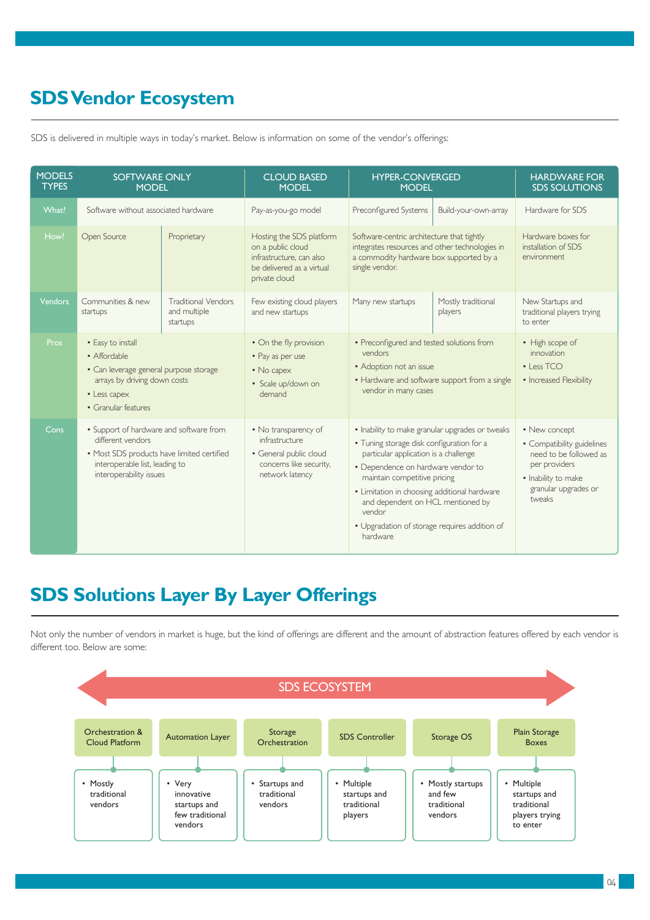### **SDS Vendor Ecosystem**

| <b>MODELS</b><br><b>TYPES</b> | <b>SOFTWARE ONLY</b><br><b>MODEL</b>                                                                                                                                    |                                                        | <b>CLOUD BASED</b><br><b>MODEL</b>                                                                                      | <b>HYPER-CONVERGED</b><br><b>MODEL</b>                                                                                                                                                                                                                                                                                                                                  |                               | <b>HARDWARE FOR</b><br><b>SDS SOLUTIONS</b>                                                                                                     |
|-------------------------------|-------------------------------------------------------------------------------------------------------------------------------------------------------------------------|--------------------------------------------------------|-------------------------------------------------------------------------------------------------------------------------|-------------------------------------------------------------------------------------------------------------------------------------------------------------------------------------------------------------------------------------------------------------------------------------------------------------------------------------------------------------------------|-------------------------------|-------------------------------------------------------------------------------------------------------------------------------------------------|
| What?                         | Software without associated hardware                                                                                                                                    |                                                        | Pay-as-you-go model                                                                                                     | Preconfigured Systems                                                                                                                                                                                                                                                                                                                                                   | Build-your-own-array          | Hardware for SDS                                                                                                                                |
| How?                          | Open Source                                                                                                                                                             | Proprietary                                            | Hosting the SDS platform<br>on a public cloud<br>infrastructure, can also<br>be delivered as a virtual<br>private cloud | Software-centric architecture that tightly<br>integrates resources and other technologies in<br>a commodity hardware box supported by a<br>single vendor.                                                                                                                                                                                                               |                               | Hardware boxes for<br>installation of SDS<br>environment                                                                                        |
| <b>Vendors</b>                | Communities & new<br>startups                                                                                                                                           | <b>Traditional Vendors</b><br>and multiple<br>startups | Few existing cloud players<br>and new startups                                                                          | Many new startups                                                                                                                                                                                                                                                                                                                                                       | Mostly traditional<br>players | New Startups and<br>traditional players trying<br>to enter                                                                                      |
| Pros                          | • Easy to install<br>• Affordable<br>• Can leverage general purpose storage<br>arrays by driving down costs<br>• Less capex<br>• Granular features                      |                                                        | • On the fly provision<br>• Pay as per use<br>• No capex<br>· Scale up/down on<br>demand                                | • Preconfigured and tested solutions from<br>vendors<br>• Adoption not an issue<br>• Hardware and software support from a single<br>vendor in many cases                                                                                                                                                                                                                |                               | • High scope of<br>innovation<br>$\cdot$   ess TCO<br>• Increased Flexibility                                                                   |
| Cons                          | • Support of hardware and software from<br>different vendors<br>• Most SDS products have limited certified<br>interoperable list, leading to<br>interoperability issues |                                                        | • No transparency of<br>infrastructure<br>· General public cloud<br>concerns like security,<br>network latency          | · Inability to make granular upgrades or tweaks<br>• Tuning storage disk configuration for a<br>particular application is a challenge<br>• Dependence on hardware vendor to<br>maintain competitive pricing<br>• Limitation in choosing additional hardware<br>and dependent on HCL mentioned by<br>vendor<br>• Upgradation of storage requires addition of<br>hardware |                               | • New concept<br>• Compatibility guidelines<br>need to be followed as<br>per providers<br>• Inability to make<br>granular upgrades or<br>tweaks |

SDS is delivered in multiple ways in today's market. Below is information on some of the vendor's offerings:

### **SDS Solutions Layer By Layer Offerings**

Not only the number of vendors in market is huge, but the kind of offerings are different and the amount of abstraction features offered by each vendor is different too. Below are some:

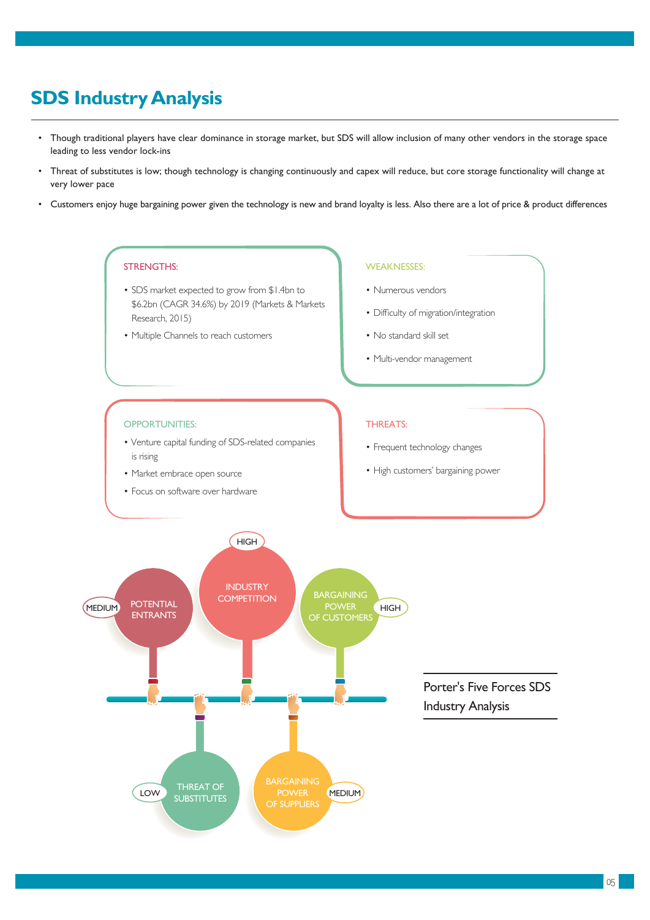### **SDS Industry Analysis**

- Though traditional players have clear dominance in storage market, but SDS will allow inclusion of many other vendors in the storage space leading to less vendor lock-ins
- Threat of substitutes is low; though technology is changing continuously and capex will reduce, but core storage functionality will change at very lower pace
- Customers enjoy huge bargaining power given the technology is new and brand loyalty is less. Also there are a lot of price & product differences

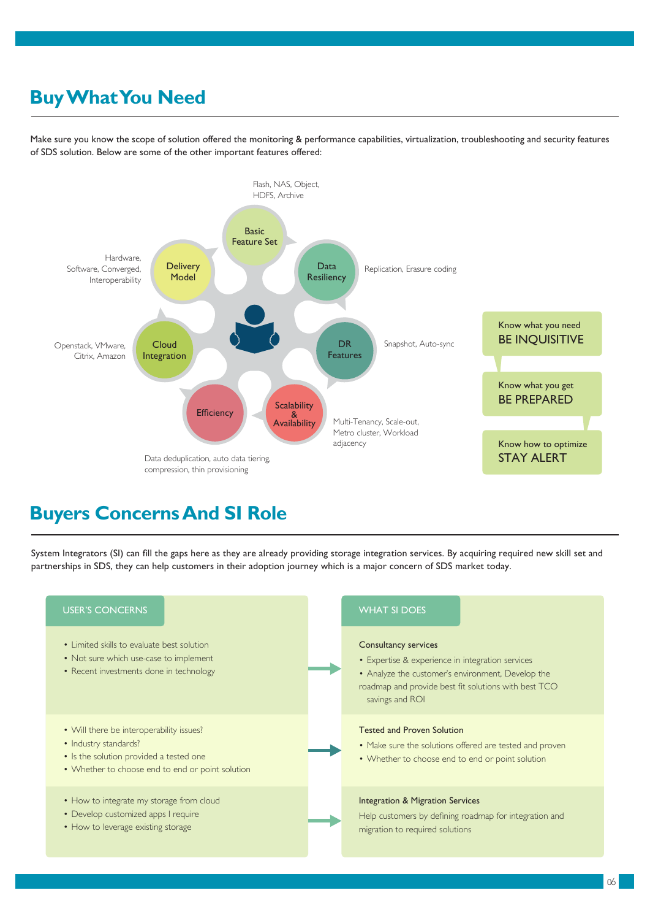### **Buy What You Need**

Make sure you know the scope of solution offered the monitoring & performance capabilities, virtualization, troubleshooting and security features of SDS solution. Below are some of the other important features offered:



#### **Buyers Concerns And SI Role**

System Integrators (SI) can fill the gaps here as they are already providing storage integration services. By acquiring required new skill set and partnerships in SDS, they can help customers in their adoption journey which is a major concern of SDS market today.

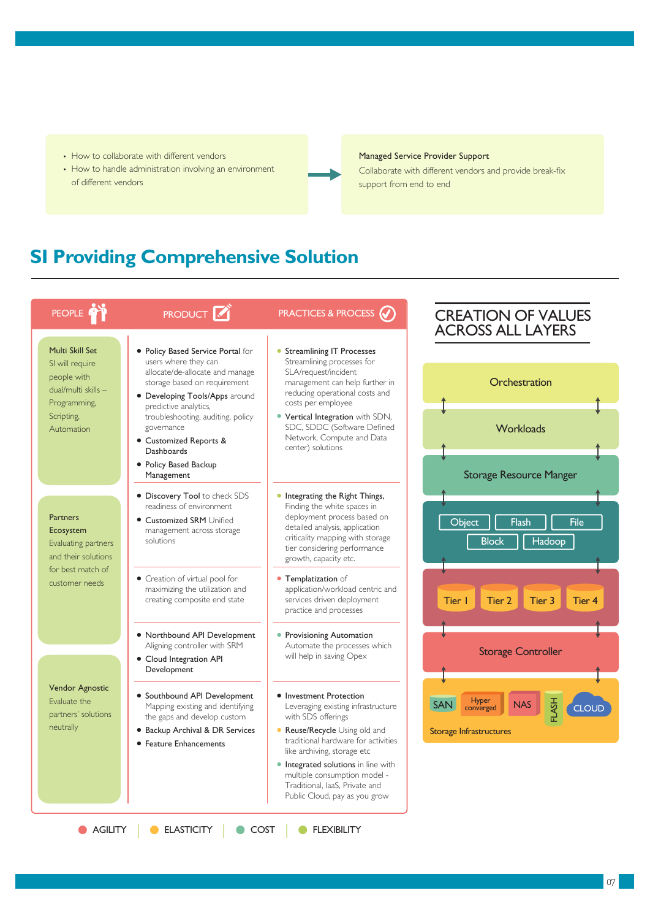- How to collaborate with different vendors
- How to handle administration involving an environment of different vendors

#### Managed Service Provider Support

Collaborate with different vendors and provide break-fix support from end to end

### **SI Providing Comprehensive Solution**

| PEOPLE <sup>1</sup>                                                                                                  | <b>PRODUCT</b>                                                                                                                                                 | <b>PRACTICES &amp; PROCESS (V)</b>                                                                                                                                                                                                                                                                  | <b>CREATION OF VALUES</b><br><b>ACROSS ALL LAYERS</b>                                                           |  |
|----------------------------------------------------------------------------------------------------------------------|----------------------------------------------------------------------------------------------------------------------------------------------------------------|-----------------------------------------------------------------------------------------------------------------------------------------------------------------------------------------------------------------------------------------------------------------------------------------------------|-----------------------------------------------------------------------------------------------------------------|--|
| Multi Skill Set<br>SI will require<br>people with<br>dual/multi skills -<br>Programming,<br>Scripting,<br>Automation | • Policy Based Service Portal for<br>users where they can<br>allocate/de-allocate and manage<br>storage based on requirement<br>• Developing Tools/Apps around | • Streamlining IT Processes<br>Streamlining processes for                                                                                                                                                                                                                                           |                                                                                                                 |  |
|                                                                                                                      |                                                                                                                                                                | SLA/request/incident<br>management can help further in<br>reducing operational costs and<br>costs per employee                                                                                                                                                                                      | Orchestration                                                                                                   |  |
|                                                                                                                      | predictive analytics,<br>troubleshooting, auditing, policy<br>governance<br>• Customized Reports &<br><b>Dashboards</b>                                        | • Vertical Integration with SDN,<br>SDC, SDDC (Software Defined<br>Network, Compute and Data<br>center) solutions                                                                                                                                                                                   | Workloads                                                                                                       |  |
|                                                                                                                      | • Policy Based Backup<br>Management                                                                                                                            |                                                                                                                                                                                                                                                                                                     | <b>Storage Resource Manger</b>                                                                                  |  |
| <b>Partners</b><br>Ecosystem<br>Evaluating partners<br>and their solutions                                           | • Discovery Tool to check SDS<br>readiness of environment<br><b>Customized SRM Unified</b><br>management across storage<br>solutions                           | • Integrating the Right Things,<br>Finding the white spaces in<br>deployment process based on<br>detailed analysis, application<br>criticality mapping with storage<br>tier considering performance<br>growth, capacity etc.                                                                        | File<br>Object<br>Flash<br><b>Block</b><br>Hadoop                                                               |  |
| for best match of<br>customer needs                                                                                  | • Creation of virtual pool for<br>maximizing the utilization and<br>creating composite end state                                                               | • Templatization of<br>application/workload centric and<br>services driven deployment<br>practice and processes                                                                                                                                                                                     | Tier 4<br>Tier I<br>Tier 2<br>Tier 3                                                                            |  |
|                                                                                                                      | • Northbound API Development<br>Aligning controller with SRM<br>• Cloud Integration API<br>Development                                                         | • Provisioning Automation<br>Automate the processes which<br>will help in saving Opex                                                                                                                                                                                                               | <b>Storage Controller</b>                                                                                       |  |
| Vendor Agnostic<br>Evaluate the<br>partners' solutions<br>neutrally                                                  | • Southbound API Development<br>Mapping existing and identifying<br>the gaps and develop custom<br>• Backup Archival & DR Services<br>• Feature Enhancements   | • Investment Protection<br>Leveraging existing infrastructure<br>with SDS offerings<br>• Reuse/Recycle Using old and<br>traditional hardware for activities<br>like archiving, storage etc<br>• Integrated solutions in line with<br>multiple consumption model -<br>Traditional, laaS, Private and | Hyper<br>converged<br><b>HSAJ</b><br><b>SAN</b><br><b>NAS</b><br><b>CLOUD</b><br><b>Storage Infrastructures</b> |  |

**AGILITY | ELASTICITY | COST | FLEXIBILITY**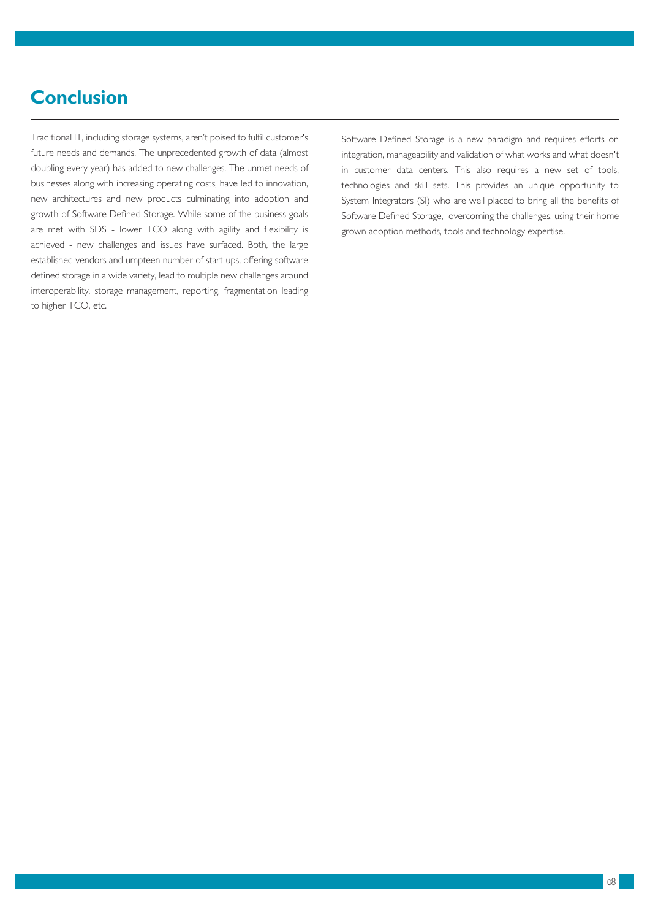#### **Conclusion**

Traditional IT, including storage systems, aren't poised to fulfil customer's future needs and demands. The unprecedented growth of data (almost doubling every year) has added to new challenges. The unmet needs of businesses along with increasing operating costs, have led to innovation, new architectures and new products culminating into adoption and growth of Software Defined Storage. While some of the business goals are met with SDS - lower TCO along with agility and flexibility is achieved - new challenges and issues have surfaced. Both, the large established vendors and umpteen number of start-ups, offering software defined storage in a wide variety, lead to multiple new challenges around interoperability, storage management, reporting, fragmentation leading to higher TCO, etc.

Software Defined Storage is a new paradigm and requires efforts on integration, manageability and validation of what works and what doesn't in customer data centers. This also requires a new set of tools, technologies and skill sets. This provides an unique opportunity to System Integrators (SI) who are well placed to bring all the benefits of Software Defined Storage, overcoming the challenges, using their home grown adoption methods, tools and technology expertise.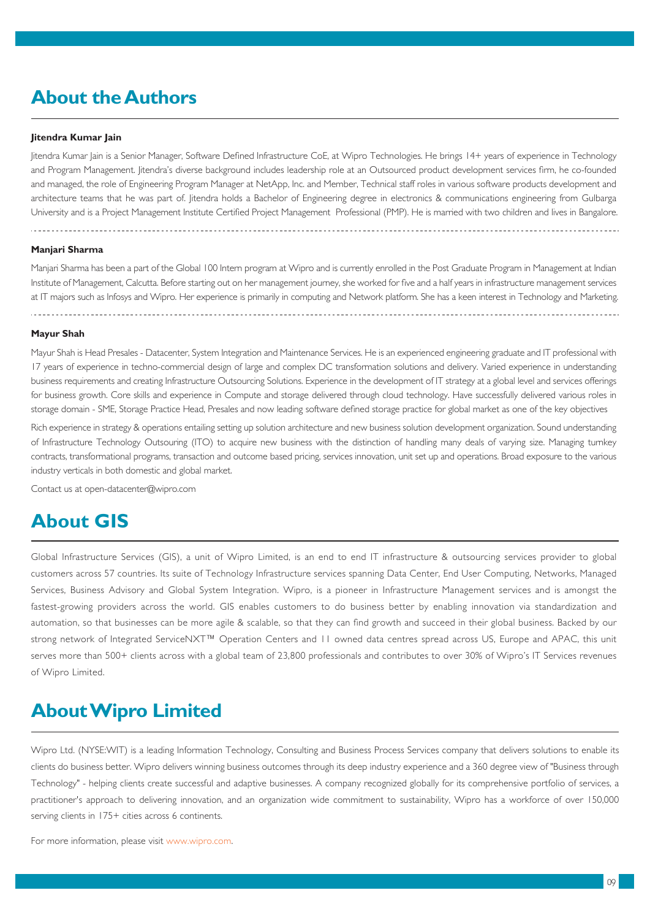#### **About the Authors**

#### **Jitendra Kumar Jain**

Jitendra Kumar Jain is a Senior Manager, Software Defined Infrastructure CoE, at Wipro Technologies. He brings 14+ years of experience in Technology and Program Management. Jitendra's diverse background includes leadership role at an Outsourced product development services firm, he co-founded and managed, the role of Engineering Program Manager at NetApp, Inc. and Member, Technical staff roles in various software products development and architecture teams that he was part of. Jitendra holds a Bachelor of Engineering degree in electronics & communications engineering from Gulbarga University and is a Project Management Institute Certified Project Management Professional (PMP). He is married with two children and lives in Bangalore.

#### **Manjari Sharma**

Manjari Sharma has been a part of the Global 100 Intern program at Wipro and is currently enrolled in the Post Graduate Program in Management at Indian Institute of Management, Calcutta. Before starting out on her management journey, she worked for five and a half years in infrastructure management services at IT majors such as Infosys and Wipro. Her experience is primarily in computing and Network platform. She has a keen interest in Technology and Marketing.

#### **Mayur Shah**

Mayur Shah is Head Presales - Datacenter, System Integration and Maintenance Services. He is an experienced engineering graduate and IT professional with 17 years of experience in techno-commercial design of large and complex DC transformation solutions and delivery. Varied experience in understanding business requirements and creating Infrastructure Outsourcing Solutions. Experience in the development of IT strategy at a global level and services offerings for business growth. Core skills and experience in Compute and storage delivered through cloud technology. Have successfully delivered various roles in storage domain - SME, Storage Practice Head, Presales and now leading software defined storage practice for global market as one of the key objectives

Rich experience in strategy & operations entailing setting up solution architecture and new business solution development organization. Sound understanding of Infrastructure Technology Outsouring (ITO) to acquire new business with the distinction of handling many deals of varying size. Managing turnkey contracts, transformational programs, transaction and outcome based pricing, services innovation, unit set up and operations. Broad exposure to the various industry verticals in both domestic and global market.

Contact us at open-datacenter@wipro.com

#### **About GIS**

Global Infrastructure Services (GIS), a unit of Wipro Limited, is an end to end IT infrastructure & outsourcing services provider to global customers across 57 countries. Its suite of Technology Infrastructure services spanning Data Center, End User Computing, Networks, Managed Services, Business Advisory and Global System Integration. Wipro, is a pioneer in Infrastructure Management services and is amongst the fastest-growing providers across the world. GIS enables customers to do business better by enabling innovation via standardization and automation, so that businesses can be more agile & scalable, so that they can find growth and succeed in their global business. Backed by our strong network of Integrated ServiceNXT<sup>™</sup> Operation Centers and 11 owned data centres spread across US, Europe and APAC, this unit serves more than 500+ clients across with a global team of 23,800 professionals and contributes to over 30% of Wipro's IT Services revenues of Wipro Limited.

#### **About Wipro Limited**

Wipro Ltd. (NYSE:WIT) is a leading Information Technology, Consulting and Business Process Services company that delivers solutions to enable its clients do business better. Wipro delivers winning business outcomes through its deep industry experience and a 360 degree view of "Business through Technology" - helping clients create successful and adaptive businesses. A company recognized globally for its comprehensive portfolio of services, a practitioner's approach to delivering innovation, and an organization wide commitment to sustainability, Wipro has a workforce of over 150,000 serving clients in 175+ cities across 6 continents.

For more information, please visit www.wipro.com.

09